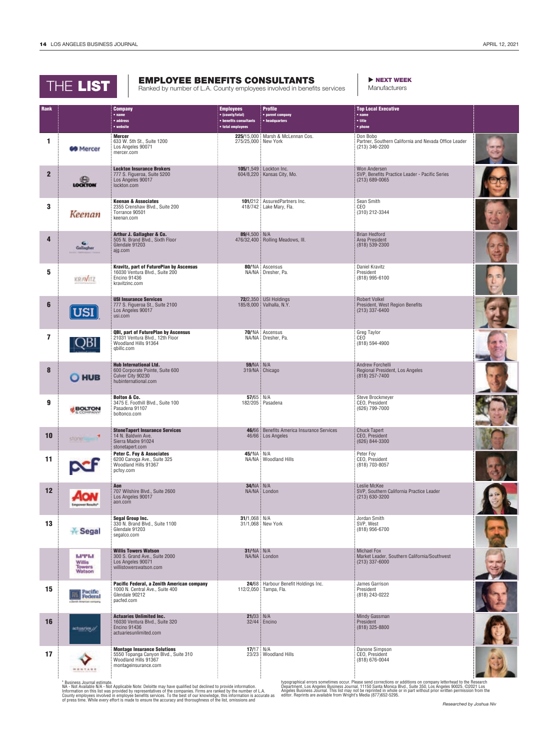|                | THE LIST         |                                                                                                                           | <b>EMPLOYEE BENEFITS CONSULTANTS</b><br>Ranked by number of L.A. County employees involved in benefits services |                                                                | INEXT WEEK<br>Manufacturers                                                          |  |
|----------------|------------------|---------------------------------------------------------------------------------------------------------------------------|-----------------------------------------------------------------------------------------------------------------|----------------------------------------------------------------|--------------------------------------------------------------------------------------|--|
| <b>Rank</b>    |                  | <b>Company</b><br>• name<br>• address<br>• website                                                                        | <b>Employees</b><br>• (county/total)<br>• benefits consultants<br>• total employees                             | <b>Profile</b><br>· parent company<br>• headquarters           | <b>Top Local Executive</b><br>$•$ name<br>• title<br>• phone                         |  |
| 1              | <b>60 Mercer</b> | <b>Mercer</b><br>633 W. 5th St., Suite 1200<br>Los Angeles 90071<br>mercer.com                                            | 275/25,000 New York                                                                                             | 225/15,000 Marsh & McLennan Cos.                               | Don Bobo<br>Partner, Southern California and Nevada Office Leader<br>(213) 346-2200  |  |
| $\overline{2}$ | <b>LOCKTON</b>   | <b>Lockton Insurance Brokers</b><br>777 S. Figueroa, Suite 5200<br>Los Angeles 90017<br>lockton.com                       |                                                                                                                 | 105/1,549 Lockton Inc.<br>604/8,220 Kansas City, Mo.           | Won Andersen<br>SVP, Benefits Practice Leader - Pacific Series<br>$(213) 689 - 0065$ |  |
| 3              | Keenan           | <b>Keenan &amp; Associates</b><br>2355 Crenshaw Blvd., Suite 200<br>Torrance 90501<br>keenan.com                          |                                                                                                                 | 101/212 AssuredPartners Inc.<br>418/742 Lake Mary, Fla.        | Sean Smith<br><b>CEO</b><br>(310) 212-3344                                           |  |
| 4              |                  | Arthur J. Gallagher & Co.<br>505 N. Brand Blvd., Sixth Floor<br>Glendale 91203<br>ajg.com                                 | 89/4,500 N/A                                                                                                    | 476/32,400 Rolling Meadows, Ill.                               | <b>Brian Hedford</b><br>Area President<br>(818) 539-2300                             |  |
| 5              | KRAVITZ          | <b>Kravitz, part of FuturePlan by Ascensus</b><br>16030 Ventura Blvd., Suite 200<br><b>Encino 91436</b><br>kravitzinc.com |                                                                                                                 | 80/'NA Ascensus<br>NA/NA Dresher, Pa.                          | Daniel Kravitz<br>President<br>(818) 995-6100                                        |  |
| 6              | USI              | <b>USI Insurance Services</b><br>777 S. Figueroa St., Suite 2100<br>Los Angeles 90017<br>usi.com                          |                                                                                                                 | 72/2,350 USI Holdings<br>185/8,000 Valhalla, N.Y.              | <b>Robert Volkel</b><br>President, West Region Benefits<br>$(213)$ 337-6400          |  |
| 7              |                  | QBI, part of FuturePlan by Ascensus<br>21031 Ventura Blvd., 12th Floor<br>Woodland Hills 91364<br>abillc.com              |                                                                                                                 | 70/'NA Ascensus<br>NA/NA   Dresher, Pa.                        | Greg Taylor<br>CEO<br>(818) 594-4900                                                 |  |
| 8              | O HUB            | <b>Hub International Ltd.</b><br>600 Corporate Pointe, Suite 600<br>Culver City 90230<br>hubinternational.com             | <b>59/NA N/A</b>                                                                                                | 319/NA Chicago                                                 | Andrew Forchelli<br>Regional President, Los Angeles<br>$(818)$ 257-7400              |  |
| 9              | BOLTON           | <b>Bolton &amp; Co.</b><br>3475 E. Foothill Blvd., Suite 100<br>Pasadena 91107<br>boltonco.com                            | 57/65 $N/A$                                                                                                     | 182/205 Pasadena                                               | Steve Brockmeyer<br>CEO, President<br>(626) 799-7000                                 |  |
| 10             | $star = 1$       | <b>StoneTapert Insurance Services</b><br>14 N. Baldwin Ave.<br>Sierra Madre 91024<br>stonetapert.com                      |                                                                                                                 | 46/66 Benefits America Insurance Services<br>46/66 Los Angeles | <b>Chuck Tapert</b><br>CEO, President<br>(626) 844-3300                              |  |
| 11             |                  | Peter C. Foy & Associates<br>6200 Canoga Ave., Suite 325<br>Woodland Hills 91367<br>pcfoy.com                             | $45$ /'NA N/A                                                                                                   | NA/NA Woodland Hills                                           | Peter Foy<br>CEO, President<br>(818) 703-8057                                        |  |
| 12             |                  | Aon<br>707 Wilshire Blvd., Suite 2600<br>Los Angeles 90017<br>aon.com                                                     | <b>34/NA N/A</b>                                                                                                | NA/NA London                                                   | Leslie McKee<br>SVP, Southern California Practice Leader<br>(213) 630-3200           |  |

31/1,068 31/1,068

> 31/**<sup>1</sup>** NA N/A NA/NA London

112/2,050 Tampa, Fla.

N/A Encino

N/A

Woodland Hills

21/33 32/44

17/17 23/23 N/A New York

24/68 Harbour Benefit Holdings Inc.

Jordan Smith SVP, West (818) 956-6700

Michael Fox Market Leader, Southern California/Southwest (213) 337-6000

James Garrison President (818) 243-0222

Mindy Gassman President (818) 325-8800

Danone Simpson CEO, President (818) 676-0044

<sup>1</sup> Business Journal estimate.<br>NA - Not Available N/A - Not Applicable Note: Deloitte may have qualified but declined to provide information.<br>Information on this list was provided by representatives of the companies. Firms

Segal Group Inc.<br>
330 N. Brand Blvd., Suite 1100

ычы Willis<br>Towers<br>Watson

actuaries//

.......

16

Glendale 91203 segalco.com

**15 Pacific Federal, a Zenith American company<br>
The Pacific 1000 N.** Central Ave., Suite 400<br> **Federal** Geodale 90212

Glendale 90212 pacfed.com

Encino 91436 actuariesunlimited.com

**17 Montage Insurance Solutions**<br>
5550 Topanga Canyon Blvd., Suite 310

Willis Towers Watson 300 S. Grand Ave., Suite 2000 Los Angeles 90071 willistowerswatson.com

1000 N. Central Ave., Suite 400

Actuaries Unlimited Inc. 16030 Ventura Blvd., Suite 320

Woodland Hills 91367 montageinsurance.com

typographical errors sometimes occur. Please send corrections or additions on company letterhead to the Research<br>Department, Los Angeles Business Journal, 11150 Santa Monica Blvd., Suite 350, Los Angeles 90025. ©2021 Los<br>A